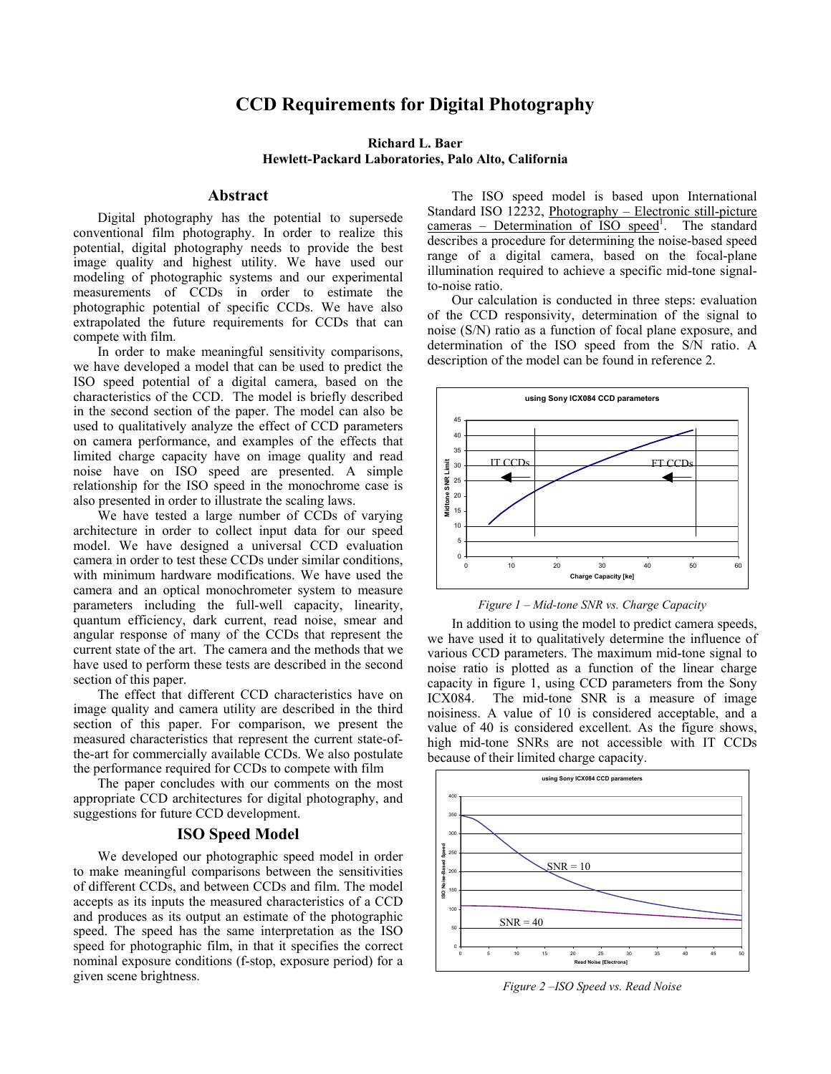# **CCD Requirements for Digital Photography**

## **Richard L. Baer Hewlett-Packard Laboratories, Palo Alto, California**

#### **Abstract**

Digital photography has the potential to supersede conventional film photography. In order to realize this potential, digital photography needs to provide the best image quality and highest utility. We have used our modeling of photographic systems and our experimental measurements of CCDs in order to estimate the photographic potential of specific CCDs. We have also extrapolated the future requirements for CCDs that can compete with film.

In order to make meaningful sensitivity comparisons, we have developed a model that can be used to predict the ISO speed potential of a digital camera, based on the characteristics of the CCD. The model is briefly described in the second section of the paper. The model can also be used to qualitatively analyze the effect of CCD parameters on camera performance, and examples of the effects that limited charge capacity have on image quality and read noise have on ISO speed are presented. A simple relationship for the ISO speed in the monochrome case is also presented in order to illustrate the scaling laws.

We have tested a large number of CCDs of varying architecture in order to collect input data for our speed model. We have designed a universal CCD evaluation camera in order to test these CCDs under similar conditions, with minimum hardware modifications. We have used the camera and an optical monochrometer system to measure parameters including the full-well capacity, linearity, quantum efficiency, dark current, read noise, smear and angular response of many of the CCDs that represent the current state of the art. The camera and the methods that we have used to perform these tests are described in the second section of this paper.

The effect that different CCD characteristics have on image quality and camera utility are described in the third section of this paper. For comparison, we present the measured characteristics that represent the current state-ofthe-art for commercially available CCDs. We also postulate the performance required for CCDs to compete with film

The paper concludes with our comments on the most appropriate CCD architectures for digital photography, and suggestions for future CCD development.

## **ISO Speed Model**

We developed our photographic speed model in order to make meaningful comparisons between the sensitivities of different CCDs, and between CCDs and film. The model accepts as its inputs the measured characteristics of a CCD and produces as its output an estimate of the photographic speed. The speed has the same interpretation as the ISO speed for photographic film, in that it specifies the correct nominal exposure conditions (f-stop, exposure period) for a given scene brightness.

The ISO speed model is based upon International Standard ISO 12232, Photography – Electronic still-picture cameras – Determination of ISO speed<sup>1</sup>. The standard describes a procedure for determining the noise-based speed range of a digital camera, based on the focal-plane illumination required to achieve a specific mid-tone signalto-noise ratio.

Our calculation is conducted in three steps: evaluation of the CCD responsivity, determination of the signal to noise (S/N) ratio as a function of focal plane exposure, and determination of the ISO speed from the S/N ratio. A description of the model can be found in reference 2.



*Figure 1 – Mid-tone SNR vs. Charge Capacity* 

In addition to using the model to predict camera speeds, we have used it to qualitatively determine the influence of various CCD parameters. The maximum mid-tone signal to noise ratio is plotted as a function of the linear charge capacity in figure 1, using CCD parameters from the Sony ICX084. The mid-tone SNR is a measure of image noisiness. A value of 10 is considered acceptable, and a value of 40 is considered excellent. As the figure shows, high mid-tone SNRs are not accessible with IT CCDs because of their limited charge capacity.



*Figure 2 –ISO Speed vs. Read Noise*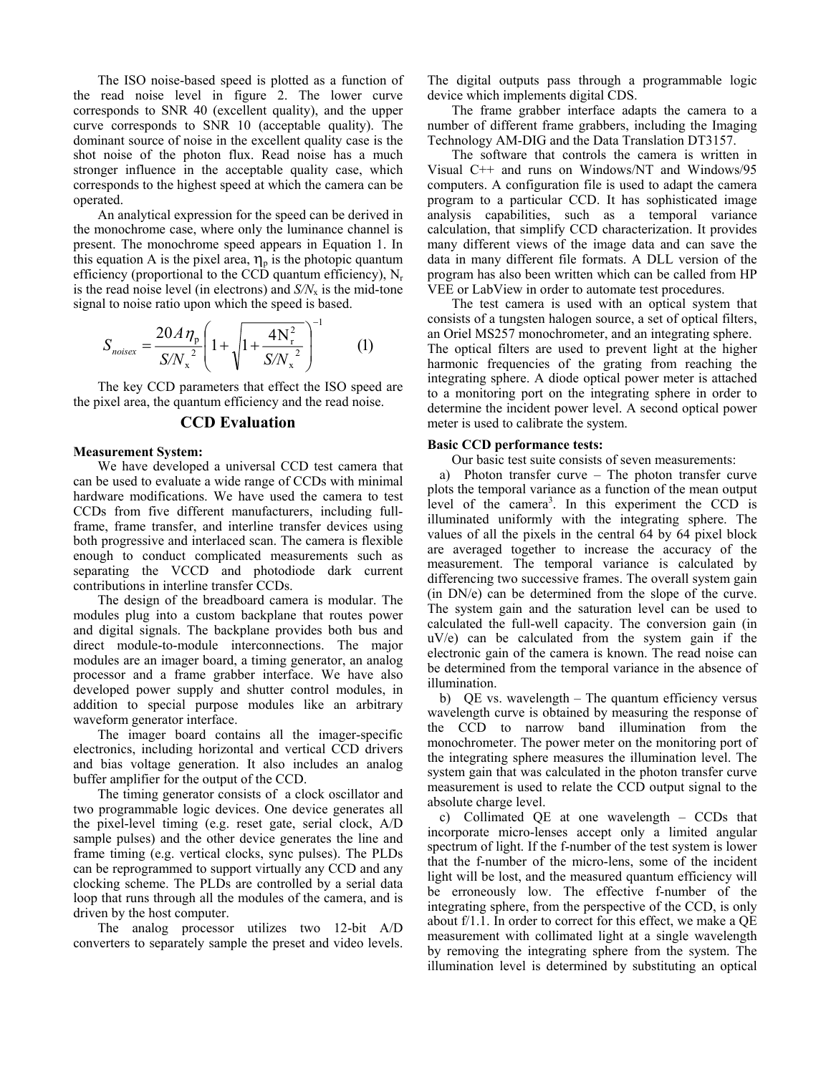The ISO noise-based speed is plotted as a function of the read noise level in figure 2. The lower curve corresponds to SNR 40 (excellent quality), and the upper curve corresponds to SNR 10 (acceptable quality). The dominant source of noise in the excellent quality case is the shot noise of the photon flux. Read noise has a much stronger influence in the acceptable quality case, which corresponds to the highest speed at which the camera can be operated.

An analytical expression for the speed can be derived in the monochrome case, where only the luminance channel is present. The monochrome speed appears in Equation 1. In this equation A is the pixel area,  $\eta_p$  is the photopic quantum efficiency (proportional to the CCD quantum efficiency),  $N_r$ is the read noise level (in electrons) and  $S/N<sub>x</sub>$  is the mid-tone signal to noise ratio upon which the speed is based.

$$
S_{noisex} = \frac{20A\,\eta_{\rm p}}{S/N_{\rm x}^2} \left(1 + \sqrt{1 + \frac{4N_{\rm r}^2}{S/N_{\rm x}^2}}\right)^{-1} \tag{1}
$$

The key CCD parameters that effect the ISO speed are the pixel area, the quantum efficiency and the read noise.

## **CCD Evaluation**

#### **Measurement System:**

We have developed a universal CCD test camera that can be used to evaluate a wide range of CCDs with minimal hardware modifications. We have used the camera to test CCDs from five different manufacturers, including fullframe, frame transfer, and interline transfer devices using both progressive and interlaced scan. The camera is flexible enough to conduct complicated measurements such as separating the VCCD and photodiode dark current contributions in interline transfer CCDs.

The design of the breadboard camera is modular. The modules plug into a custom backplane that routes power and digital signals. The backplane provides both bus and direct module-to-module interconnections. The major modules are an imager board, a timing generator, an analog processor and a frame grabber interface. We have also developed power supply and shutter control modules, in addition to special purpose modules like an arbitrary waveform generator interface.

The imager board contains all the imager-specific electronics, including horizontal and vertical CCD drivers and bias voltage generation. It also includes an analog buffer amplifier for the output of the CCD.

The timing generator consists of a clock oscillator and two programmable logic devices. One device generates all the pixel-level timing (e.g. reset gate, serial clock, A/D sample pulses) and the other device generates the line and frame timing (e.g. vertical clocks, sync pulses). The PLDs can be reprogrammed to support virtually any CCD and any clocking scheme. The PLDs are controlled by a serial data loop that runs through all the modules of the camera, and is driven by the host computer.

The analog processor utilizes two 12-bit A/D converters to separately sample the preset and video levels. The digital outputs pass through a programmable logic device which implements digital CDS.

The frame grabber interface adapts the camera to a number of different frame grabbers, including the Imaging Technology AM-DIG and the Data Translation DT3157.

The software that controls the camera is written in Visual C++ and runs on Windows/NT and Windows/95 computers. A configuration file is used to adapt the camera program to a particular CCD. It has sophisticated image analysis capabilities, such as a temporal variance calculation, that simplify CCD characterization. It provides many different views of the image data and can save the data in many different file formats. A DLL version of the program has also been written which can be called from HP VEE or LabView in order to automate test procedures.

The test camera is used with an optical system that consists of a tungsten halogen source, a set of optical filters, an Oriel MS257 monochrometer, and an integrating sphere. The optical filters are used to prevent light at the higher harmonic frequencies of the grating from reaching the integrating sphere. A diode optical power meter is attached to a monitoring port on the integrating sphere in order to determine the incident power level. A second optical power meter is used to calibrate the system.

#### **Basic CCD performance tests:**

Our basic test suite consists of seven measurements:

a) Photon transfer curve – The photon transfer curve plots the temporal variance as a function of the mean output level of the camera<sup>3</sup>. In this experiment the CCD is illuminated uniformly with the integrating sphere. The values of all the pixels in the central 64 by 64 pixel block are averaged together to increase the accuracy of the measurement. The temporal variance is calculated by differencing two successive frames. The overall system gain (in DN/e) can be determined from the slope of the curve. The system gain and the saturation level can be used to calculated the full-well capacity. The conversion gain (in uV/e) can be calculated from the system gain if the electronic gain of the camera is known. The read noise can be determined from the temporal variance in the absence of illumination.

b) QE vs. wavelength – The quantum efficiency versus wavelength curve is obtained by measuring the response of the CCD to narrow band illumination from the monochrometer. The power meter on the monitoring port of the integrating sphere measures the illumination level. The system gain that was calculated in the photon transfer curve measurement is used to relate the CCD output signal to the absolute charge level.

c) Collimated QE at one wavelength – CCDs that incorporate micro-lenses accept only a limited angular spectrum of light. If the f-number of the test system is lower that the f-number of the micro-lens, some of the incident light will be lost, and the measured quantum efficiency will be erroneously low. The effective f-number of the integrating sphere, from the perspective of the CCD, is only about f/1.1. In order to correct for this effect, we make a QE measurement with collimated light at a single wavelength by removing the integrating sphere from the system. The illumination level is determined by substituting an optical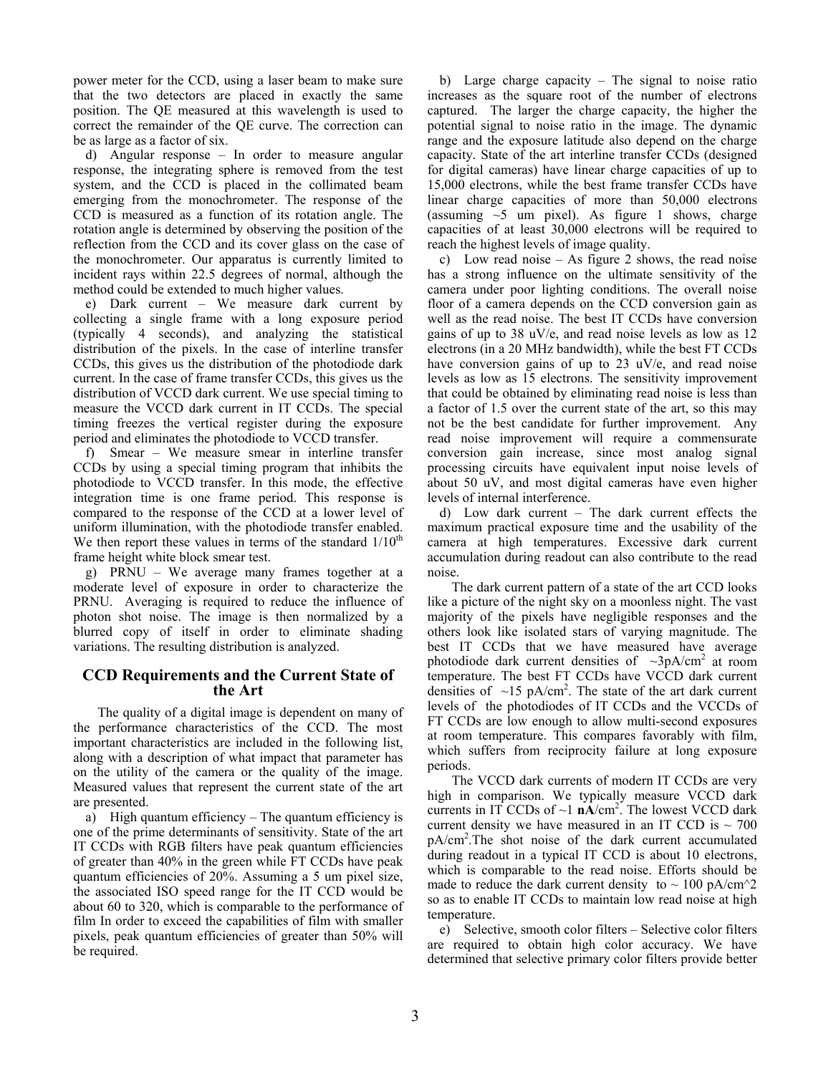power meter for the CCD, using a laser beam to make sure that the two detectors are placed in exactly the same position. The QE measured at this wavelength is used to correct the remainder of the QE curve. The correction can be as large as a factor of six.

d) Angular response – In order to measure angular response, the integrating sphere is removed from the test system, and the CCD is placed in the collimated beam emerging from the monochrometer. The response of the CCD is measured as a function of its rotation angle. The rotation angle is determined by observing the position of the reflection from the CCD and its cover glass on the case of the monochrometer. Our apparatus is currently limited to incident rays within 22.5 degrees of normal, although the method could be extended to much higher values.

e) Dark current – We measure dark current by collecting a single frame with a long exposure period (typically 4 seconds), and analyzing the statistical distribution of the pixels. In the case of interline transfer CCDs, this gives us the distribution of the photodiode dark current. In the case of frame transfer CCDs, this gives us the distribution of VCCD dark current. We use special timing to measure the VCCD dark current in IT CCDs. The special timing freezes the vertical register during the exposure period and eliminates the photodiode to VCCD transfer.

f) Smear – We measure smear in interline transfer CCDs by using a special timing program that inhibits the photodiode to VCCD transfer. In this mode, the effective integration time is one frame period. This response is compared to the response of the CCD at a lower level of uniform illumination, with the photodiode transfer enabled. We then report these values in terms of the standard  $1/10^{th}$ frame height white block smear test.

g) PRNU – We average many frames together at a moderate level of exposure in order to characterize the PRNU. Averaging is required to reduce the influence of photon shot noise. The image is then normalized by a blurred copy of itself in order to eliminate shading variations. The resulting distribution is analyzed.

## **CCD Requirements and the Current State of the Art**

The quality of a digital image is dependent on many of the performance characteristics of the CCD. The most important characteristics are included in the following list, along with a description of what impact that parameter has on the utility of the camera or the quality of the image. Measured values that represent the current state of the art are presented.

a) High quantum efficiency – The quantum efficiency is one of the prime determinants of sensitivity. State of the art IT CCDs with RGB filters have peak quantum efficiencies of greater than 40% in the green while FT CCDs have peak quantum efficiencies of 20%. Assuming a 5 um pixel size, the associated ISO speed range for the IT CCD would be about 60 to 320, which is comparable to the performance of film In order to exceed the capabilities of film with smaller pixels, peak quantum efficiencies of greater than 50% will be required.

b) Large charge capacity – The signal to noise ratio increases as the square root of the number of electrons captured. The larger the charge capacity, the higher the potential signal to noise ratio in the image. The dynamic range and the exposure latitude also depend on the charge capacity. State of the art interline transfer CCDs (designed for digital cameras) have linear charge capacities of up to 15,000 electrons, while the best frame transfer CCDs have linear charge capacities of more than 50,000 electrons (assuming  $\sim$ 5 um pixel). As figure 1 shows, charge capacities of at least 30,000 electrons will be required to reach the highest levels of image quality.

c) Low read noise – As figure 2 shows, the read noise has a strong influence on the ultimate sensitivity of the camera under poor lighting conditions. The overall noise floor of a camera depends on the CCD conversion gain as well as the read noise. The best IT CCDs have conversion gains of up to 38 uV/e, and read noise levels as low as 12 electrons (in a 20 MHz bandwidth), while the best FT CCDs have conversion gains of up to 23 uV/e, and read noise levels as low as 15 electrons. The sensitivity improvement that could be obtained by eliminating read noise is less than a factor of 1.5 over the current state of the art, so this may not be the best candidate for further improvement. Any read noise improvement will require a commensurate conversion gain increase, since most analog signal processing circuits have equivalent input noise levels of about 50 uV, and most digital cameras have even higher levels of internal interference.

d) Low dark current – The dark current effects the maximum practical exposure time and the usability of the camera at high temperatures. Excessive dark current accumulation during readout can also contribute to the read noise.

The dark current pattern of a state of the art CCD looks like a picture of the night sky on a moonless night. The vast majority of the pixels have negligible responses and the others look like isolated stars of varying magnitude. The best IT CCDs that we have measured have average photodiode dark current densities of  $\sim$ 3pA/cm<sup>2</sup> at room temperature. The best FT CCDs have VCCD dark current densities of  $\sim$ 15 pA/cm<sup>2</sup>. The state of the art dark current levels of the photodiodes of IT CCDs and the VCCDs of FT CCDs are low enough to allow multi-second exposures at room temperature. This compares favorably with film, which suffers from reciprocity failure at long exposure periods.

The VCCD dark currents of modern IT CCDs are very high in comparison. We typically measure VCCD dark currents in IT CCDs of  $\sim$ 1  $nA/cm^2$ . The lowest VCCD dark current density we have measured in an IT CCD is  $\sim$  700 pA/cm2 .The shot noise of the dark current accumulated during readout in a typical IT CCD is about 10 electrons, which is comparable to the read noise. Efforts should be made to reduce the dark current density to  $\sim 100 \text{ pA/cm}^2$ so as to enable IT CCDs to maintain low read noise at high temperature.

e) Selective, smooth color filters – Selective color filters are required to obtain high color accuracy. We have determined that selective primary color filters provide better